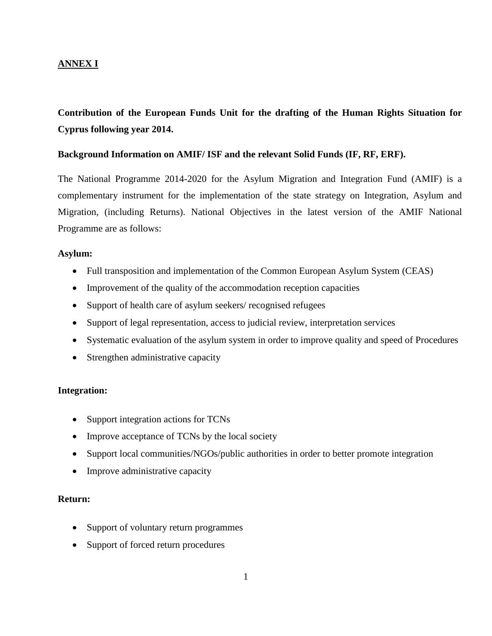## **ANNEX I**

# **Contribution of the European Funds Unit for the drafting of the Human Rights Situation for Cyprus following year 2014.**

## **Background Information on AMIF/ ISF and the relevant Solid Funds (IF, RF, ERF).**

The National Programme 2014-2020 for the Asylum Migration and Integration Fund (AMIF) is a complementary instrument for the implementation of the state strategy on Integration, Asylum and Migration, (including Returns). National Objectives in the latest version of the AMIF National Programme are as follows:

### **Asylum:**

- Full transposition and implementation of the Common European Asylum System (CEAS)
- Improvement of the quality of the accommodation reception capacities
- Support of health care of asylum seekers/ recognised refugees
- Support of legal representation, access to judicial review, interpretation services
- Systematic evaluation of the asylum system in order to improve quality and speed of Procedures
- Strengthen administrative capacity

## **Integration:**

- Support integration actions for TCNs
- Improve acceptance of TCNs by the local society
- Support local communities/NGOs/public authorities in order to better promote integration
- Improve administrative capacity

## **Return:**

- Support of voluntary return programmes
- Support of forced return procedures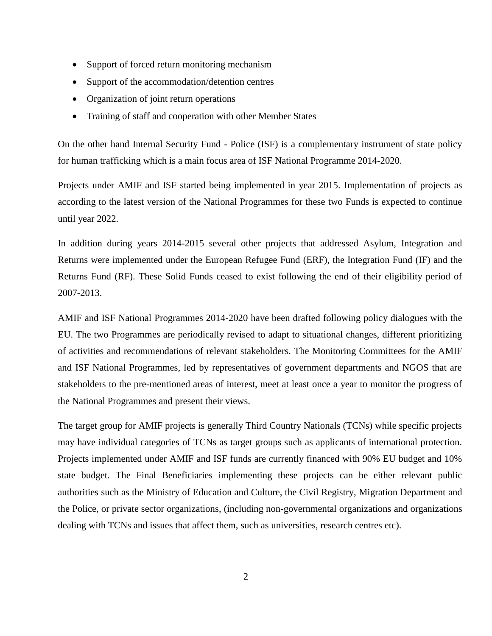- Support of forced return monitoring mechanism
- Support of the accommodation/detention centres
- Organization of joint return operations
- Training of staff and cooperation with other Member States

On the other hand Internal Security Fund - Police (ISF) is a complementary instrument of state policy for human trafficking which is a main focus area of ISF National Programme 2014-2020.

Projects under AMIF and ISF started being implemented in year 2015. Implementation of projects as according to the latest version of the National Programmes for these two Funds is expected to continue until year 2022.

In addition during years 2014-2015 several other projects that addressed Asylum, Integration and Returns were implemented under the European Refugee Fund (ERF), the Integration Fund (IF) and the Returns Fund (RF). These Solid Funds ceased to exist following the end of their eligibility period of 2007-2013.

AMIF and ISF National Programmes 2014-2020 have been drafted following policy dialogues with the EU. The two Programmes are periodically revised to adapt to situational changes, different prioritizing of activities and recommendations of relevant stakeholders. The Monitoring Committees for the AMIF and ISF National Programmes, led by representatives of government departments and NGOS that are stakeholders to the pre-mentioned areas of interest, meet at least once a year to monitor the progress of the National Programmes and present their views.

The target group for AMIF projects is generally Third Country Nationals (TCNs) while specific projects may have individual categories of TCNs as target groups such as applicants of international protection. Projects implemented under AMIF and ISF funds are currently financed with 90% EU budget and 10% state budget. The Final Beneficiaries implementing these projects can be either relevant public authorities such as the Ministry of Education and Culture, the Civil Registry, Migration Department and the Police, or private sector organizations, (including non-governmental organizations and organizations dealing with TCNs and issues that affect them, such as universities, research centres etc).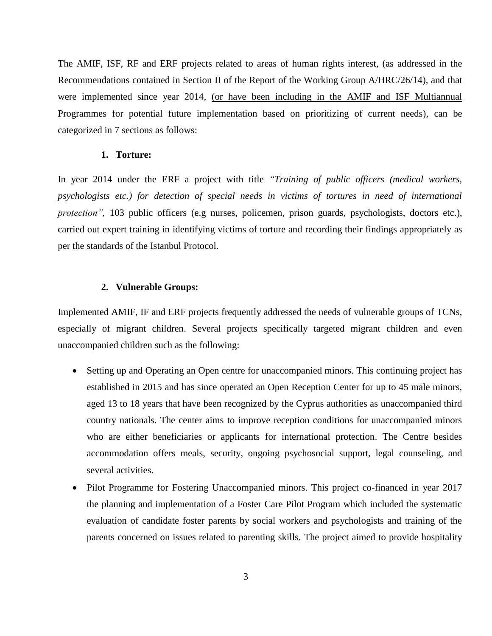The AMIF, ISF, RF and ERF projects related to areas of human rights interest, (as addressed in the Recommendations contained in Section II of the Report of the Working Group A/HRC/26/14), and that were implemented since year 2014, (or have been including in the AMIF and ISF Multiannual Programmes for potential future implementation based on prioritizing of current needs), can be categorized in 7 sections as follows:

#### **1. Torture:**

In year 2014 under the ERF a project with title *"Training of public officers (medical workers, psychologists etc.) for detection of special needs in victims of tortures in need of international protection"*, 103 public officers (e.g nurses, policemen, prison guards, psychologists, doctors etc.), carried out expert training in identifying victims of torture and recording their findings appropriately as per the standards of the Istanbul Protocol.

### **2. Vulnerable Groups:**

Implemented AMIF, IF and ERF projects frequently addressed the needs of vulnerable groups of TCNs, especially of migrant children. Several projects specifically targeted migrant children and even unaccompanied children such as the following:

- Setting up and Operating an Open centre for unaccompanied minors. This continuing project has established in 2015 and has since operated an Open Reception Center for up to 45 male minors, aged 13 to 18 years that have been recognized by the Cyprus authorities as unaccompanied third country nationals. The center aims to improve reception conditions for unaccompanied minors who are either beneficiaries or applicants for international protection. The Centre besides accommodation offers meals, security, ongoing psychosocial support, legal counseling, and several activities.
- Pilot Programme for Fostering Unaccompanied minors. This project co-financed in year 2017 the planning and implementation of a Foster Care Pilot Program which included the systematic evaluation of candidate foster parents by social workers and psychologists and training of the parents concerned on issues related to parenting skills. The project aimed to provide hospitality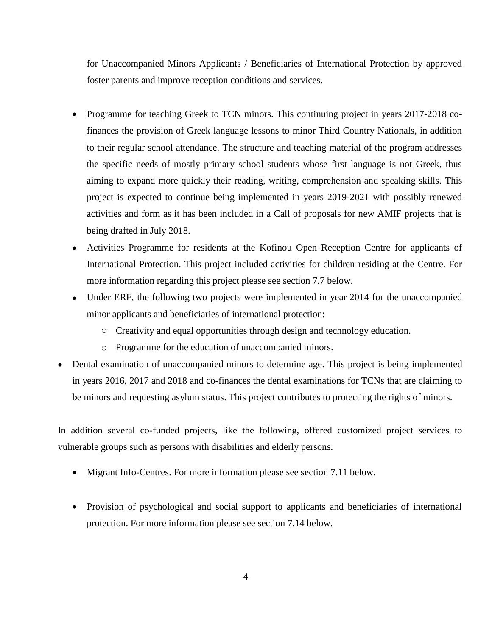for Unaccompanied Minors Applicants / Beneficiaries of International Protection by approved foster parents and improve reception conditions and services.

- Programme for teaching Greek to TCN minors. This continuing project in years 2017-2018 cofinances the provision of Greek language lessons to minor Third Country Nationals, in addition to their regular school attendance. The structure and teaching material of the program addresses the specific needs of mostly primary school students whose first language is not Greek, thus aiming to expand more quickly their reading, writing, comprehension and speaking skills. This project is expected to continue being implemented in years 2019-2021 with possibly renewed activities and form as it has been included in a Call of proposals for new AMIF projects that is being drafted in July 2018.
- Activities Programme for residents at the Kofinou Open Reception Centre for applicants of International Protection. This project included activities for children residing at the Centre. For more information regarding this project please see section 7.7 below.
- Under ERF, the following two projects were implemented in year 2014 for the unaccompanied minor applicants and beneficiaries of international protection:
	- o Creativity and equal opportunities through design and technology education.
	- o Programme for the education of unaccompanied minors.
- Dental examination of unaccompanied minors to determine age. This project is being implemented in years 2016, 2017 and 2018 and co-finances the dental examinations for TCNs that are claiming to be minors and requesting asylum status. This project contributes to protecting the rights of minors.

In addition several co-funded projects, like the following, offered customized project services to vulnerable groups such as persons with disabilities and elderly persons.

- Migrant Info-Centres. For more information please see section 7.11 below.
- Provision of psychological and social support to applicants and beneficiaries of international protection. For more information please see section 7.14 below.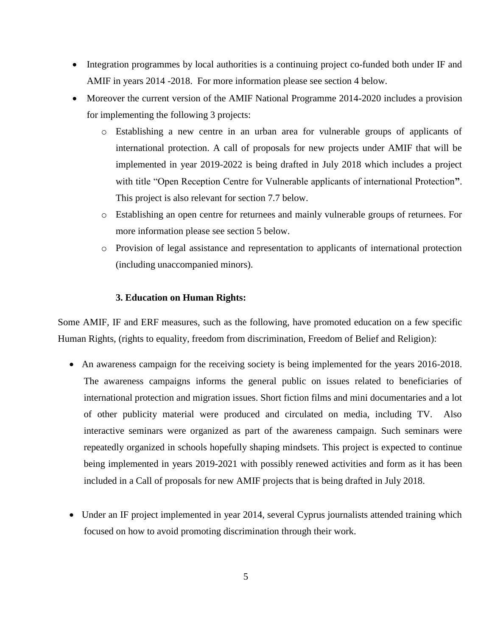- Integration programmes by local authorities is a continuing project co-funded both under IF and AMIF in years 2014 -2018. For more information please see section 4 below.
- Moreover the current version of the AMIF National Programme 2014-2020 includes a provision for implementing the following 3 projects:
	- o Establishing a new centre in an urban area for vulnerable groups of applicants of international protection. A call of proposals for new projects under AMIF that will be implemented in year 2019-2022 is being drafted in July 2018 which includes a project with title "Open Reception Centre for Vulnerable applicants of international Protection**"**. This project is also relevant for section 7.7 below.
	- o Establishing an open centre for returnees and mainly vulnerable groups of returnees. For more information please see section 5 below.
	- o Provision of legal assistance and representation to applicants of international protection (including unaccompanied minors).

#### **3. Education on Human Rights:**

Some AMIF, IF and ERF measures, such as the following, have promoted education on a few specific Human Rights, (rights to equality, freedom from discrimination, Freedom of Belief and Religion):

- An awareness campaign for the receiving society is being implemented for the years 2016-2018. The awareness campaigns informs the general public on issues related to beneficiaries of international protection and migration issues. Short fiction films and mini documentaries and a lot of other publicity material were produced and circulated on media, including TV. Also interactive seminars were organized as part of the awareness campaign. Such seminars were repeatedly organized in schools hopefully shaping mindsets. This project is expected to continue being implemented in years 2019-2021 with possibly renewed activities and form as it has been included in a Call of proposals for new AMIF projects that is being drafted in July 2018.
- Under an IF project implemented in year 2014, several Cyprus journalists attended training which focused on how to avoid promoting discrimination through their work.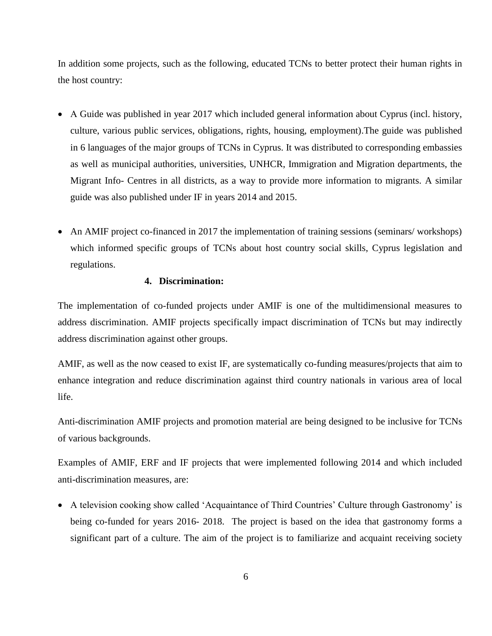In addition some projects, such as the following, educated TCNs to better protect their human rights in the host country:

- A Guide was published in year 2017 which included general information about Cyprus (incl. history, culture, various public services, obligations, rights, housing, employment).The guide was published in 6 languages of the major groups of TCNs in Cyprus. It was distributed to corresponding embassies as well as municipal authorities, universities, UNHCR, Immigration and Migration departments, the Migrant Info- Centres in all districts, as a way to provide more information to migrants. A similar guide was also published under IF in years 2014 and 2015.
- An AMIF project co-financed in 2017 the implementation of training sessions (seminars/ workshops) which informed specific groups of TCNs about host country social skills, Cyprus legislation and regulations.

### **4. Discrimination:**

The implementation of co-funded projects under AMIF is one of the multidimensional measures to address discrimination. AMIF projects specifically impact discrimination of TCNs but may indirectly address discrimination against other groups.

AMIF, as well as the now ceased to exist IF, are systematically co-funding measures/projects that aim to enhance integration and reduce discrimination against third country nationals in various area of local life.

Anti-discrimination AMIF projects and promotion material are being designed to be inclusive for TCNs of various backgrounds.

Examples of AMIF, ERF and IF projects that were implemented following 2014 and which included anti-discrimination measures, are:

• A television cooking show called 'Acquaintance of Third Countries' Culture through Gastronomy' is being co-funded for years 2016- 2018. The project is based on the idea that gastronomy forms a significant part of a culture. The aim of the project is to familiarize and acquaint receiving society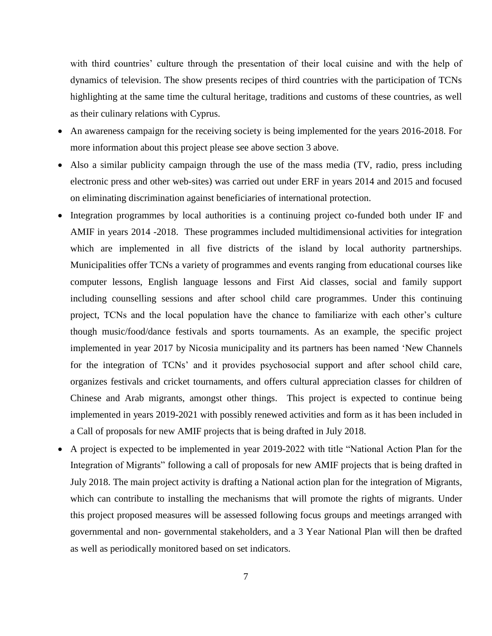with third countries' culture through the presentation of their local cuisine and with the help of dynamics of television. The show presents recipes of third countries with the participation of TCNs highlighting at the same time the cultural heritage, traditions and customs of these countries, as well as their culinary relations with Cyprus.

- An awareness campaign for the receiving society is being implemented for the years 2016-2018. For more information about this project please see above section 3 above.
- Also a similar publicity campaign through the use of the mass media (TV, radio, press including electronic press and other web-sites) was carried out under ERF in years 2014 and 2015 and focused on eliminating discrimination against beneficiaries of international protection.
- Integration programmes by local authorities is a continuing project co-funded both under IF and AMIF in years 2014 -2018. These programmes included multidimensional activities for integration which are implemented in all five districts of the island by local authority partnerships. Municipalities offer TCNs a variety of programmes and events ranging from educational courses like computer lessons, English language lessons and First Aid classes, social and family support including counselling sessions and after school child care programmes. Under this continuing project, TCNs and the local population have the chance to familiarize with each other's culture though music/food/dance festivals and sports tournaments. As an example, the specific project implemented in year 2017 by Nicosia municipality and its partners has been named ['New Channels](http://localintegration.eu/wp-content/uploads/leaflet_endaxi_leflet_A4_eng.pdf)  [for the integration of TCNs'](http://localintegration.eu/wp-content/uploads/leaflet_endaxi_leflet_A4_eng.pdf) and it provides psychosocial support and after school child care, organizes festivals and cricket tournaments, and offers cultural appreciation classes for children of Chinese and Arab migrants, amongst other things. This project is expected to continue being implemented in years 2019-2021 with possibly renewed activities and form as it has been included in a Call of proposals for new AMIF projects that is being drafted in July 2018.
- A project is expected to be implemented in year 2019-2022 with title "National Action Plan for the Integration of Migrants" following a call of proposals for new AMIF projects that is being drafted in July 2018. The main project activity is drafting a National action plan for the integration of Migrants, which can contribute to installing the mechanisms that will promote the rights of migrants. Under this project proposed measures will be assessed following focus groups and meetings arranged with governmental and non- governmental stakeholders, and a 3 Year National Plan will then be drafted as well as periodically monitored based on set indicators.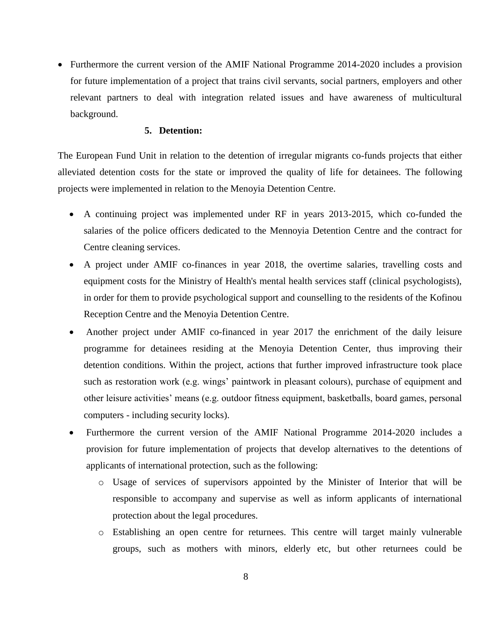• Furthermore the current version of the AMIF National Programme 2014-2020 includes a provision for future implementation of a project that trains civil servants, social partners, employers and other relevant partners to deal with integration related issues and have awareness of multicultural background.

## **5. Detention:**

The European Fund Unit in relation to the detention of irregular migrants co-funds projects that either alleviated detention costs for the state or improved the quality of life for detainees. The following projects were implemented in relation to the Menoyia Detention Centre.

- A continuing project was implemented under RF in years 2013-2015, which co-funded the salaries of the police officers dedicated to the Mennoyia Detention Centre and the contract for Centre cleaning services.
- A project under AMIF co-finances in year 2018, the overtime salaries, travelling costs and equipment costs for the Ministry of Health's mental health services staff (clinical psychologists), in order for them to provide psychological support and counselling to the residents of the Kofinou Reception Centre and the Menoyia Detention Centre.
- Another project under AMIF co-financed in year 2017 the enrichment of the daily leisure programme for detainees residing at the Menoyia Detention Center, thus improving their detention conditions. Within the project, actions that further improved infrastructure took place such as restoration work (e.g. wings' paintwork in pleasant colours), purchase of equipment and other leisure activities' means (e.g. outdoor fitness equipment, basketballs, board games, personal computers - including security locks).
- Furthermore the current version of the AMIF National Programme 2014-2020 includes a provision for future implementation of projects that develop alternatives to the detentions of applicants of international protection, such as the following:
	- o Usage of services of supervisors appointed by the Minister of Interior that will be responsible to accompany and supervise as well as inform applicants of international protection about the legal procedures.
	- o Establishing an open centre for returnees. This centre will target mainly vulnerable groups, such as mothers with minors, elderly etc, but other returnees could be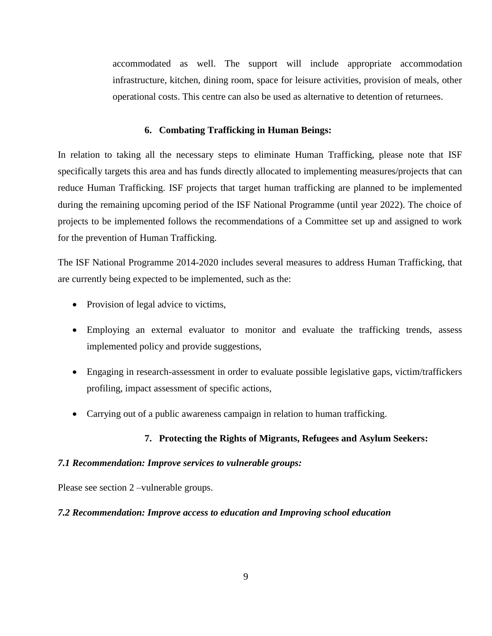accommodated as well. The support will include appropriate accommodation infrastructure, kitchen, dining room, space for leisure activities, provision of meals, other operational costs. This centre can also be used as alternative to detention of returnees.

### **6. Combating Trafficking in Human Beings:**

In relation to taking all the necessary steps to eliminate Human Trafficking, please note that ISF specifically targets this area and has funds directly allocated to implementing measures/projects that can reduce Human Trafficking. ISF projects that target human trafficking are planned to be implemented during the remaining upcoming period of the ISF National Programme (until year 2022). The choice of projects to be implemented follows the recommendations of a Committee set up and assigned to work for the prevention of Human Trafficking.

The ISF National Programme 2014-2020 includes several measures to address Human Trafficking, that are currently being expected to be implemented, such as the:

- Provision of legal advice to victims,
- Employing an external evaluator to monitor and evaluate the trafficking trends, assess implemented policy and provide suggestions,
- Engaging in research-assessment in order to evaluate possible legislative gaps, victim/traffickers profiling, impact assessment of specific actions,
- Carrying out of a public awareness campaign in relation to human trafficking.

## **7. Protecting the Rights of Migrants, Refugees and Asylum Seekers:**

#### *7.1 Recommendation: Improve services to vulnerable groups:*

Please see section 2 –vulnerable groups.

#### *7.2 Recommendation: Improve access to education and Improving school education*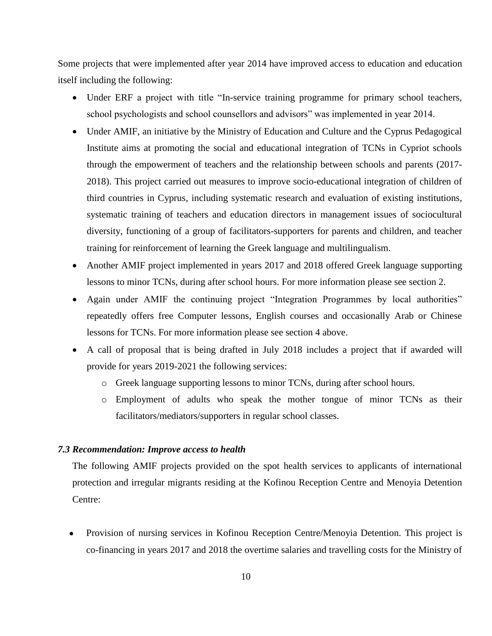Some projects that were implemented after year 2014 have improved access to education and education itself including the following:

- Under ERF a project with title "In-service training programme for primary school teachers, school psychologists and school counsellors and advisors" was implemented in year 2014.
- Under AMIF, an [initiative](http://enimerosi.moec.gov.cy/archeia/1/ypp6327a) by the Ministry of Education and Culture and the Cyprus Pedagogical Institute aims at promoting the social and educational integration of TCNs in Cypriot schools through the empowerment of teachers and the relationship between schools and parents (2017- 2018). This project carried out measures to improve socio-educational integration of children of third countries in Cyprus, including systematic research and evaluation of existing institutions, systematic training of teachers and education directors in management issues of sociocultural diversity, functioning of a group of facilitators-supporters for parents and children, and teacher training for reinforcement of learning the Greek language and multilingualism.
- Another AMIF project implemented in years 2017 and 2018 offered Greek language supporting lessons to minor TCNs, during after school hours. For more information please see section 2.
- Again under AMIF the continuing project "Integration Programmes by local authorities" repeatedly offers free Computer lessons, English courses and occasionally Arab or Chinese lessons for TCNs. For more information please see section 4 above.
- A call of proposal that is being drafted in July 2018 includes a project that if awarded will provide for years 2019-2021 the following services:
	- o Greek language supporting lessons to minor TCNs, during after school hours.
	- o Employment of adults who speak the mother tongue of minor TCNs as their facilitators/mediators/supporters in regular school classes.

#### *7.3 Recommendation: Improve access to health*

The following AMIF projects provided on the spot health services to applicants of international protection and irregular migrants residing at the Kofinou Reception Centre and Menoyia Detention Centre:

• Provision of nursing services in Kofinou Reception Centre/Menoyia Detention. This project is co-financing in years 2017 and 2018 the overtime salaries and travelling costs for the Ministry of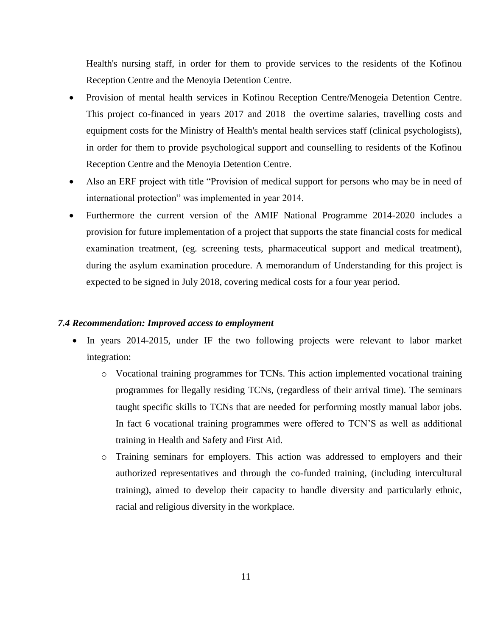Health's nursing staff, in order for them to provide services to the residents of the Kofinou Reception Centre and the Menoyia Detention Centre.

- Provision of mental health services in Kofinou Reception Centre/Menogeia Detention Centre. This project co-financed in years 2017 and 2018 the overtime salaries, travelling costs and equipment costs for the Ministry of Health's mental health services staff (clinical psychologists), in order for them to provide psychological support and counselling to residents of the Kofinou Reception Centre and the Menoyia Detention Centre.
- Also an ERF project with title "Provision of medical support for persons who may be in need of international protection" was implemented in year 2014.
- Furthermore the current version of the AMIF National Programme 2014-2020 includes a provision for future implementation of a project that supports the state financial costs for medical examination treatment, (eg. screening tests, pharmaceutical support and medical treatment), during the asylum examination procedure. A memorandum of Understanding for this project is expected to be signed in July 2018, covering medical costs for a four year period.

### *7.4 Recommendation: Improved access to employment*

- In years 2014-2015, under IF the two following projects were relevant to labor market integration:
	- o Vocational training programmes for TCNs. This action implemented vocational training programmes for llegally residing TCNs, (regardless of their arrival time). The seminars taught specific skills to TCNs that are needed for performing mostly manual labor jobs. In fact 6 vocational training programmes were offered to TCN'S as well as additional training in Health and Safety and First Aid.
	- o Training seminars for employers. This action was addressed to employers and their authorized representatives and through the co-funded training, (including intercultural training), aimed to develop their capacity to handle diversity and particularly ethnic, racial and religious diversity in the workplace.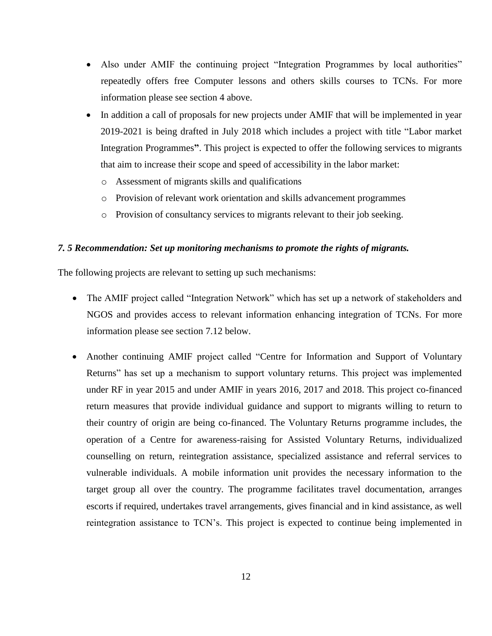- Also under AMIF the continuing project "Integration Programmes by local authorities" repeatedly offers free Computer lessons and others skills courses to TCNs. For more information please see section 4 above.
- In addition a call of proposals for new projects under AMIF that will be implemented in year 2019-2021 is being drafted in July 2018 which includes a project with title "Labor market Integration Programmes**"**. This project is expected to offer the following services to migrants that aim to increase their scope and speed of accessibility in the labor market:
	- o Assessment of migrants skills and qualifications
	- o Provision of relevant work orientation and skills advancement programmes
	- o Provision of consultancy services to migrants relevant to their job seeking.

#### *7. 5 Recommendation: Set up monitoring mechanisms to promote the rights of migrants.*

The following projects are relevant to setting up such mechanisms:

- The AMIF project called "Integration Network" which has set up a network of stakeholders and NGOS and provides access to relevant information enhancing integration of TCNs. For more information please see section 7.12 below.
- Another continuing AMIF project called "Centre for Information and Support of Voluntary Returns" has set up a mechanism to support voluntary returns. This project was implemented under RF in year 2015 and under AMIF in years 2016, 2017 and 2018. This project co-financed return measures that provide individual guidance and support to migrants willing to return to their country of origin are being co-financed. The Voluntary Returns programme includes, the operation of a Centre for awareness-raising for Assisted Voluntary Returns, individualized counselling on return, reintegration assistance, specialized assistance and referral services to vulnerable individuals. A mobile information unit provides the necessary information to the target group all over the country. The programme facilitates travel documentation, arranges escorts if required, undertakes travel arrangements, gives financial and in kind assistance, as well reintegration assistance to TCN's. This project is expected to continue being implemented in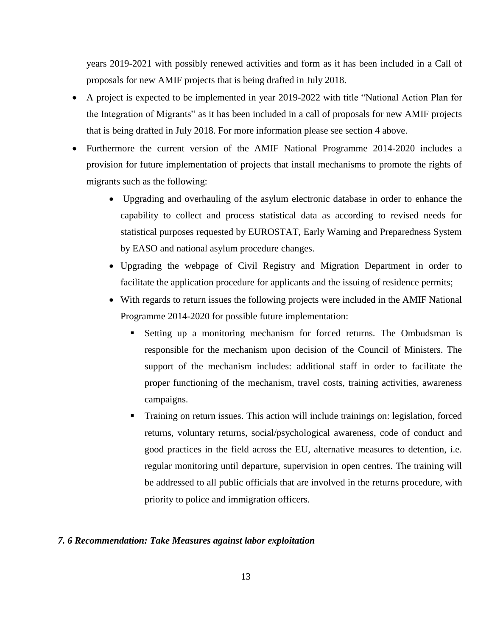years 2019-2021 with possibly renewed activities and form as it has been included in a Call of proposals for new AMIF projects that is being drafted in July 2018.

- A project is expected to be implemented in year 2019-2022 with title "National Action Plan for the Integration of Migrants" as it has been included in a call of proposals for new AMIF projects that is being drafted in July 2018. For more information please see section 4 above.
- Furthermore the current version of the AMIF National Programme 2014-2020 includes a provision for future implementation of projects that install mechanisms to promote the rights of migrants such as the following:
	- Upgrading and overhauling of the asylum electronic database in order to enhance the capability to collect and process statistical data as according to revised needs for statistical purposes requested by EUROSTAT, Early Warning and Preparedness System by EASO and national asylum procedure changes.
	- Upgrading the webpage of Civil Registry and Migration Department in order to facilitate the application procedure for applicants and the issuing of residence permits;
	- With regards to return issues the following projects were included in the AMIF National Programme 2014-2020 for possible future implementation:
		- Setting up a monitoring mechanism for forced returns. The Ombudsman is responsible for the mechanism upon decision of the Council of Ministers. The support of the mechanism includes: additional staff in order to facilitate the proper functioning of the mechanism, travel costs, training activities, awareness campaigns.
		- Training on return issues. This action will include trainings on: legislation, forced returns, voluntary returns, social/psychological awareness, code of conduct and good practices in the field across the EU, alternative measures to detention, i.e. regular monitoring until departure, supervision in open centres. The training will be addressed to all public officials that are involved in the returns procedure, with priority to police and immigration officers.

#### *7. 6 Recommendation: Take Measures against labor exploitation*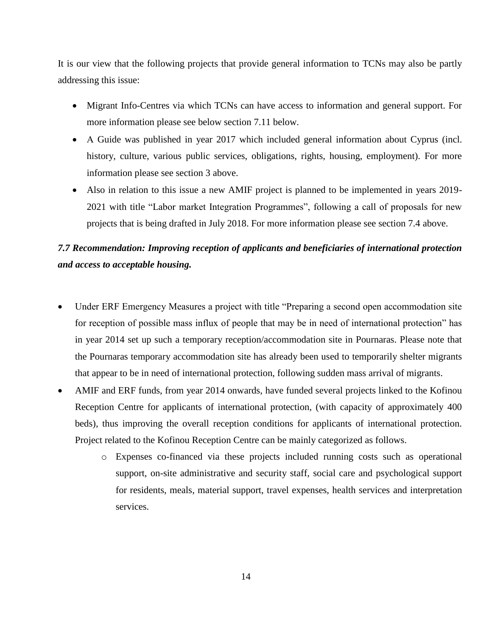It is our view that the following projects that provide general information to TCNs may also be partly addressing this issue:

- Migrant Info-Centres via which TCNs can have access to information and general support. For more information please see below section 7.11 below.
- A Guide was published in year 2017 which included general information about Cyprus (incl. history, culture, various public services, obligations, rights, housing, employment). For more information please see section 3 above.
- Also in relation to this issue a new AMIF project is planned to be implemented in years 2019- 2021 with title "Labor market Integration Programmes", following a call of proposals for new projects that is being drafted in July 2018. For more information please see section 7.4 above.

## *7.7 Recommendation: Improving reception of applicants and beneficiaries of international protection and access to acceptable housing.*

- Under ERF Emergency Measures a project with title "Preparing a second open accommodation site for reception of possible mass influx of people that may be in need of international protection" has in year 2014 set up such a temporary reception/accommodation site in Pournaras. Please note that the Pournaras temporary accommodation site has already been used to temporarily shelter migrants that appear to be in need of international protection, following sudden mass arrival of migrants.
- AMIF and ERF funds, from year 2014 onwards, have funded several projects linked to the Kofinou Reception Centre for applicants of international protection, (with capacity of approximately 400 beds), thus improving the overall reception conditions for applicants of international protection. Project related to the Kofinou Reception Centre can be mainly categorized as follows.
	- o Expenses co-financed via these projects included running costs such as operational support, on-site administrative and security staff, social care and psychological support for residents, meals, material support, travel expenses, health services and interpretation services.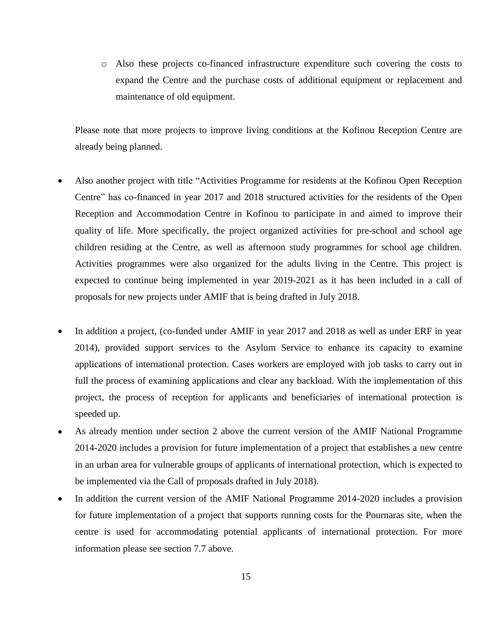o Also these projects co-financed infrastructure expenditure such covering the costs to expand the Centre and the purchase costs of additional equipment or replacement and maintenance of old equipment.

Please note that more projects to improve living conditions at the Kofinou Reception Centre are already being planned.

- Also another project with title "Activities Programme for residents at the Kofinou Open Reception Centre" has co-financed in year 2017 and 2018 structured activities for the residents of the Open Reception and Accommodation Centre in Kofinou to participate in and aimed to improve their quality of life. More specifically, the project organized activities for pre-school and school age children residing at the Centre, as well as afternoon study programmes for school age children. Activities programmes were also organized for the adults living in the Centre. This project is expected to continue being implemented in year 2019-2021 as it has been included in a call of proposals for new projects under AMIF that is being drafted in July 2018.
- In addition a project, (co-funded under AMIF in year 2017 and 2018 as well as under ERF in year 2014), provided support services to the Asylum Service to enhance its capacity to examine applications of international protection. Cases workers are employed with job tasks to carry out in full the process of examining applications and clear any backload. With the implementation of this project, the process of reception for applicants and beneficiaries of international protection is speeded up.
- As already mention under section 2 above the current version of the AMIF National Programme 2014-2020 includes a provision for future implementation of a project that establishes a new centre in an urban area for vulnerable groups of applicants of international protection, which is expected to be implemented via the Call of proposals drafted in July 2018).
- In addition the current version of the AMIF National Programme 2014-2020 includes a provision for future implementation of a project that supports running costs for the Pournaras site, when the centre is used for accommodating potential applicants of international protection. For more information please see section 7.7 above.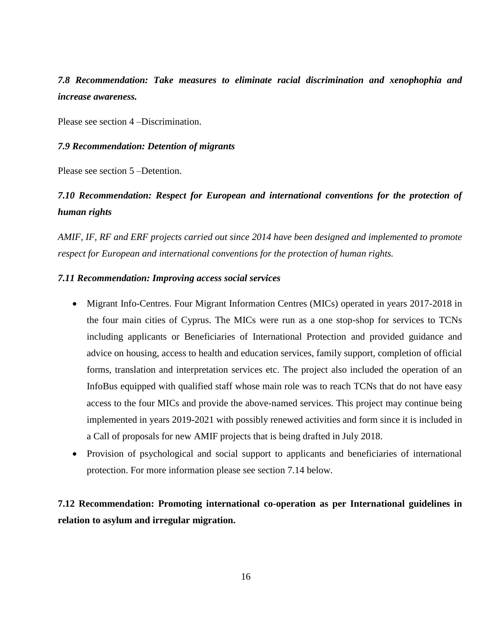*7.8 Recommendation: Take measures to eliminate racial discrimination and xenophophia and increase awareness.*

Please see section 4 –Discrimination.

#### *7.9 Recommendation: Detention of migrants*

Please see section 5 –Detention.

# *7.10 Recommendation: Respect for European and international conventions for the protection of human rights*

*AMIF, IF, RF and ERF projects carried out since 2014 have been designed and implemented to promote respect for European and international conventions for the protection of human rights.*

#### *7.11 Recommendation: Improving access social services*

- Migrant Info-Centres. Four Migrant Information Centres (MICs) operated in years 2017-2018 in the four main cities of Cyprus. The MICs were run as a one stop-shop for services to TCNs including applicants or Beneficiaries of International Protection and provided guidance and advice on housing, access to health and education services, family support, completion of official forms, translation and interpretation services etc. The project also included the operation of an InfoBus equipped with qualified staff whose main role was to reach TCNs that do not have easy access to the four MICs and provide the above-named services. This project may continue being implemented in years 2019-2021 with possibly renewed activities and form since it is included in a Call of proposals for new AMIF projects that is being drafted in July 2018.
- Provision of psychological and social support to applicants and beneficiaries of international protection. For more information please see section 7.14 below.

**7.12 Recommendation: Promoting international co-operation as per International guidelines in relation to asylum and irregular migration.**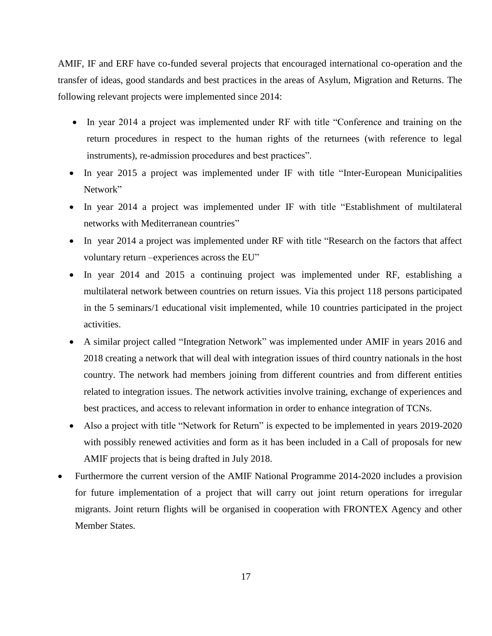AMIF, IF and ERF have co-funded several projects that encouraged international co-operation and the transfer of ideas, good standards and best practices in the areas of Asylum, Migration and Returns. The following relevant projects were implemented since 2014:

- In year 2014 a project was implemented under RF with title "Conference and training on the return procedures in respect to the human rights of the returnees (with reference to legal instruments), re-admission procedures and best practices".
- In year 2015 a project was implemented under IF with title "Inter-European Municipalities" Network"
- In year 2014 a project was implemented under IF with title "Establishment of multilateral networks with Mediterranean countries"
- In year 2014 a project was implemented under RF with title "Research on the factors that affect voluntary return –experiences across the EU"
- In year 2014 and 2015 a continuing project was implemented under RF, establishing a multilateral network between countries on return issues. Via this project 118 persons participated in the 5 seminars/1 educational visit implemented, while 10 countries participated in the project activities.
- A similar project called "Integration Network" was implemented under AMIF in years 2016 and 2018 creating a network that will deal with integration issues of third country nationals in the host country. The network had members joining from different countries and from different entities related to integration issues. The network activities involve training, exchange of experiences and best practices, and access to relevant information in order to enhance integration of TCNs.
- Also a project with title "Network for Return" is expected to be implemented in years 2019-2020 with possibly renewed activities and form as it has been included in a Call of proposals for new AMIF projects that is being drafted in July 2018.
- Furthermore the current version of the AMIF National Programme 2014-2020 includes a provision for future implementation of a project that will carry out joint return operations for irregular migrants. Joint return flights will be organised in cooperation with FRONTEX Agency and other Member States.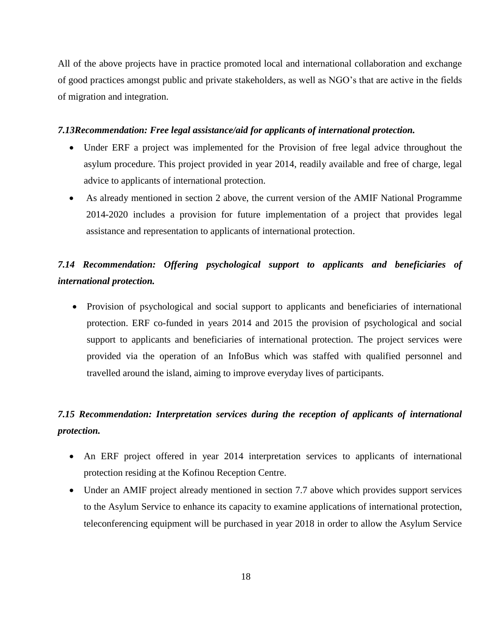All of the above projects have in practice promoted local and international collaboration and exchange of good practices amongst public and private stakeholders, as well as NGO's that are active in the fields of migration and integration.

### *7.13Recommendation: Free legal assistance/aid for applicants of international protection.*

- Under ERF a project was implemented for the Provision of free legal advice throughout the asylum procedure. This project provided in year 2014, readily available and free of charge, legal advice to applicants of international protection.
- As already mentioned in section 2 above, the current version of the AMIF National Programme 2014-2020 includes a provision for future implementation of a project that provides legal assistance and representation to applicants of international protection.

## *7.14 Recommendation: Offering psychological support to applicants and beneficiaries of international protection.*

• Provision of psychological and social support to applicants and beneficiaries of international protection. ERF co-funded in years 2014 and 2015 the provision of psychological and social support to applicants and beneficiaries of international protection. The project services were provided via the operation of an InfoBus which was staffed with qualified personnel and travelled around the island, aiming to improve everyday lives of participants.

# *7.15 Recommendation: Interpretation services during the reception of applicants of international protection.*

- An ERF project offered in year 2014 interpretation services to applicants of international protection residing at the Kofinou Reception Centre.
- Under an AMIF project already mentioned in section 7.7 above which provides support services to the Asylum Service to enhance its capacity to examine applications of international protection, teleconferencing equipment will be purchased in year 2018 in order to allow the Asylum Service